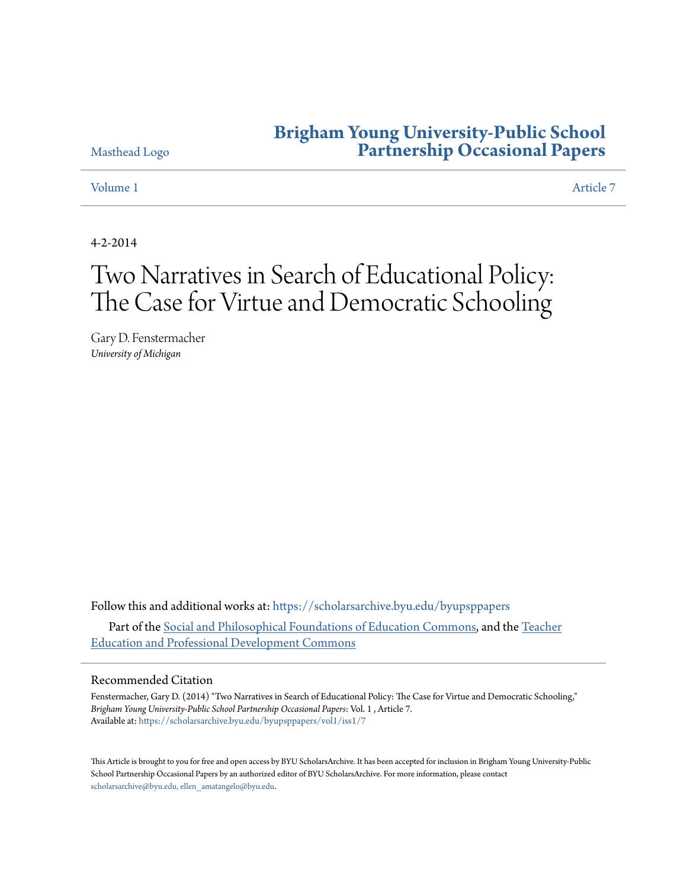## **[Brigham Young University-Public School](https://scholarsarchive.byu.edu/byupsppapers?utm_source=scholarsarchive.byu.edu%2Fbyupsppapers%2Fvol1%2Fiss1%2F7&utm_medium=PDF&utm_campaign=PDFCoverPages) [Partnership Occasional Papers](https://scholarsarchive.byu.edu/byupsppapers?utm_source=scholarsarchive.byu.edu%2Fbyupsppapers%2Fvol1%2Fiss1%2F7&utm_medium=PDF&utm_campaign=PDFCoverPages)**

[Masthead Logo](http://home.byu.edu/home/?utm_source=scholarsarchive.byu.edu%2Fbyupsppapers%2Fvol1%2Fiss1%2F7&utm_medium=PDF&utm_campaign=PDFCoverPages)

[Volume 1](https://scholarsarchive.byu.edu/byupsppapers/vol1?utm_source=scholarsarchive.byu.edu%2Fbyupsppapers%2Fvol1%2Fiss1%2F7&utm_medium=PDF&utm_campaign=PDFCoverPages) [Article 7](https://scholarsarchive.byu.edu/byupsppapers/vol1/iss1/7?utm_source=scholarsarchive.byu.edu%2Fbyupsppapers%2Fvol1%2Fiss1%2F7&utm_medium=PDF&utm_campaign=PDFCoverPages)

4-2-2014

# Two Narratives in Search of Educational Policy: The Case for Virtue and Democratic Schooling

Gary D. Fenstermacher *University of Michigan*

Follow this and additional works at: [https://scholarsarchive.byu.edu/byupsppapers](https://scholarsarchive.byu.edu/byupsppapers?utm_source=scholarsarchive.byu.edu%2Fbyupsppapers%2Fvol1%2Fiss1%2F7&utm_medium=PDF&utm_campaign=PDFCoverPages) Part of the [Social and Philosophical Foundations of Education Commons](http://network.bepress.com/hgg/discipline/799?utm_source=scholarsarchive.byu.edu%2Fbyupsppapers%2Fvol1%2Fiss1%2F7&utm_medium=PDF&utm_campaign=PDFCoverPages), and the [Teacher](http://network.bepress.com/hgg/discipline/803?utm_source=scholarsarchive.byu.edu%2Fbyupsppapers%2Fvol1%2Fiss1%2F7&utm_medium=PDF&utm_campaign=PDFCoverPages) [Education and Professional Development Commons](http://network.bepress.com/hgg/discipline/803?utm_source=scholarsarchive.byu.edu%2Fbyupsppapers%2Fvol1%2Fiss1%2F7&utm_medium=PDF&utm_campaign=PDFCoverPages)

#### Recommended Citation

Fenstermacher, Gary D. (2014) "Two Narratives in Search of Educational Policy: The Case for Virtue and Democratic Schooling," *Brigham Young University-Public School Partnership Occasional Papers*: Vol. 1 , Article 7. Available at: [https://scholarsarchive.byu.edu/byupsppapers/vol1/iss1/7](https://scholarsarchive.byu.edu/byupsppapers/vol1/iss1/7?utm_source=scholarsarchive.byu.edu%2Fbyupsppapers%2Fvol1%2Fiss1%2F7&utm_medium=PDF&utm_campaign=PDFCoverPages)

This Article is brought to you for free and open access by BYU ScholarsArchive. It has been accepted for inclusion in Brigham Young University-Public School Partnership Occasional Papers by an authorized editor of BYU ScholarsArchive. For more information, please contact [scholarsarchive@byu.edu, ellen\\_amatangelo@byu.edu.](mailto:scholarsarchive@byu.edu,%20ellen_amatangelo@byu.edu)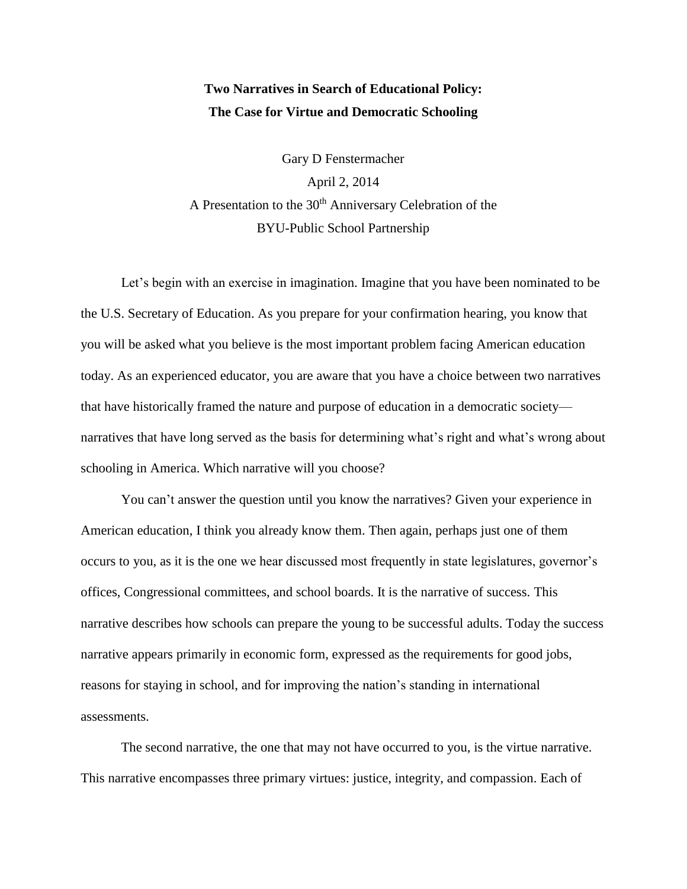### **Two Narratives in Search of Educational Policy: The Case for Virtue and Democratic Schooling**

Gary D Fenstermacher April 2, 2014 A Presentation to the  $30<sup>th</sup>$  Anniversary Celebration of the BYU-Public School Partnership

Let's begin with an exercise in imagination. Imagine that you have been nominated to be the U.S. Secretary of Education. As you prepare for your confirmation hearing, you know that you will be asked what you believe is the most important problem facing American education today. As an experienced educator, you are aware that you have a choice between two narratives that have historically framed the nature and purpose of education in a democratic society narratives that have long served as the basis for determining what's right and what's wrong about schooling in America. Which narrative will you choose?

You can't answer the question until you know the narratives? Given your experience in American education, I think you already know them. Then again, perhaps just one of them occurs to you, as it is the one we hear discussed most frequently in state legislatures, governor's offices, Congressional committees, and school boards. It is the narrative of success. This narrative describes how schools can prepare the young to be successful adults. Today the success narrative appears primarily in economic form, expressed as the requirements for good jobs, reasons for staying in school, and for improving the nation's standing in international assessments.

The second narrative, the one that may not have occurred to you, is the virtue narrative. This narrative encompasses three primary virtues: justice, integrity, and compassion. Each of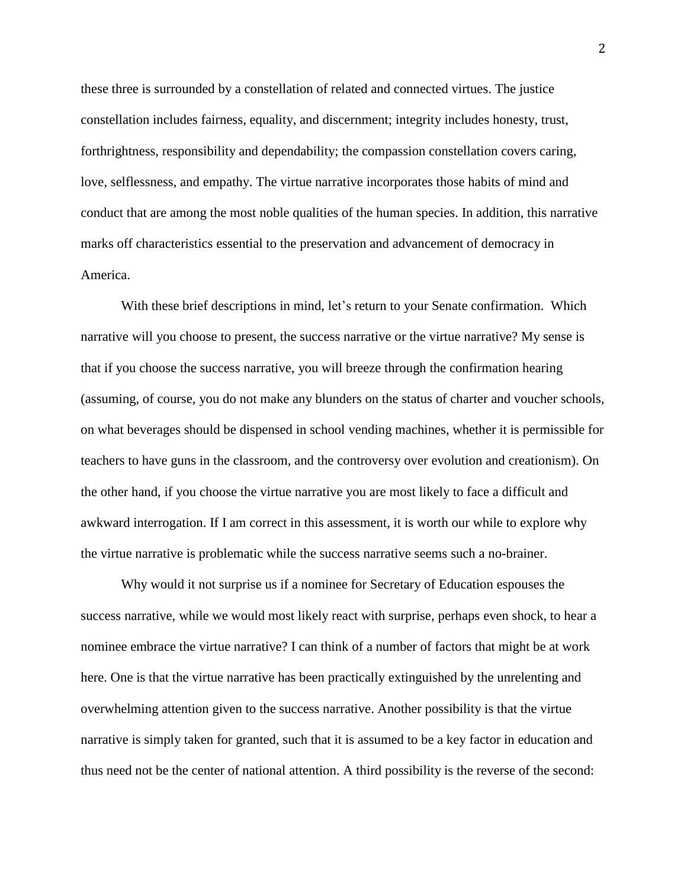these three is surrounded by a constellation of related and connected virtues. The justice constellation includes fairness, equality, and discernment; integrity includes honesty, trust, forthrightness, responsibility and dependability; the compassion constellation covers caring, love, selflessness, and empathy. The virtue narrative incorporates those habits of mind and conduct that are among the most noble qualities of the human species. In addition, this narrative marks off characteristics essential to the preservation and advancement of democracy in America.

With these brief descriptions in mind, let's return to your Senate confirmation. Which narrative will you choose to present, the success narrative or the virtue narrative? My sense is that if you choose the success narrative, you will breeze through the confirmation hearing (assuming, of course, you do not make any blunders on the status of charter and voucher schools, on what beverages should be dispensed in school vending machines, whether it is permissible for teachers to have guns in the classroom, and the controversy over evolution and creationism). On the other hand, if you choose the virtue narrative you are most likely to face a difficult and awkward interrogation. If I am correct in this assessment, it is worth our while to explore why the virtue narrative is problematic while the success narrative seems such a no-brainer.

Why would it not surprise us if a nominee for Secretary of Education espouses the success narrative, while we would most likely react with surprise, perhaps even shock, to hear a nominee embrace the virtue narrative? I can think of a number of factors that might be at work here. One is that the virtue narrative has been practically extinguished by the unrelenting and overwhelming attention given to the success narrative. Another possibility is that the virtue narrative is simply taken for granted, such that it is assumed to be a key factor in education and thus need not be the center of national attention. A third possibility is the reverse of the second: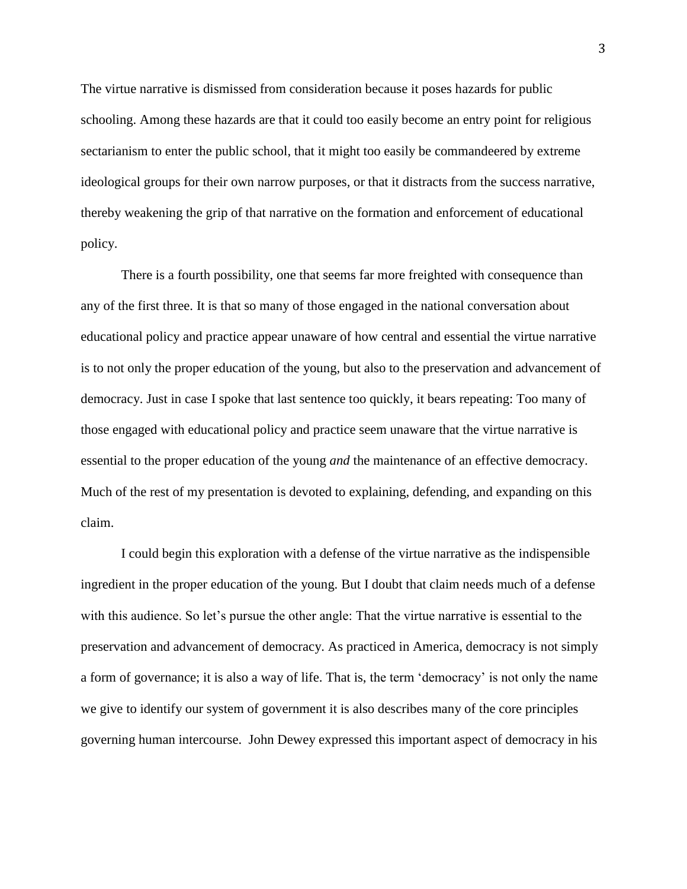The virtue narrative is dismissed from consideration because it poses hazards for public schooling. Among these hazards are that it could too easily become an entry point for religious sectarianism to enter the public school, that it might too easily be commandeered by extreme ideological groups for their own narrow purposes, or that it distracts from the success narrative, thereby weakening the grip of that narrative on the formation and enforcement of educational policy.

There is a fourth possibility, one that seems far more freighted with consequence than any of the first three. It is that so many of those engaged in the national conversation about educational policy and practice appear unaware of how central and essential the virtue narrative is to not only the proper education of the young, but also to the preservation and advancement of democracy. Just in case I spoke that last sentence too quickly, it bears repeating: Too many of those engaged with educational policy and practice seem unaware that the virtue narrative is essential to the proper education of the young *and* the maintenance of an effective democracy. Much of the rest of my presentation is devoted to explaining, defending, and expanding on this claim.

I could begin this exploration with a defense of the virtue narrative as the indispensible ingredient in the proper education of the young. But I doubt that claim needs much of a defense with this audience. So let's pursue the other angle: That the virtue narrative is essential to the preservation and advancement of democracy. As practiced in America, democracy is not simply a form of governance; it is also a way of life. That is, the term 'democracy' is not only the name we give to identify our system of government it is also describes many of the core principles governing human intercourse. John Dewey expressed this important aspect of democracy in his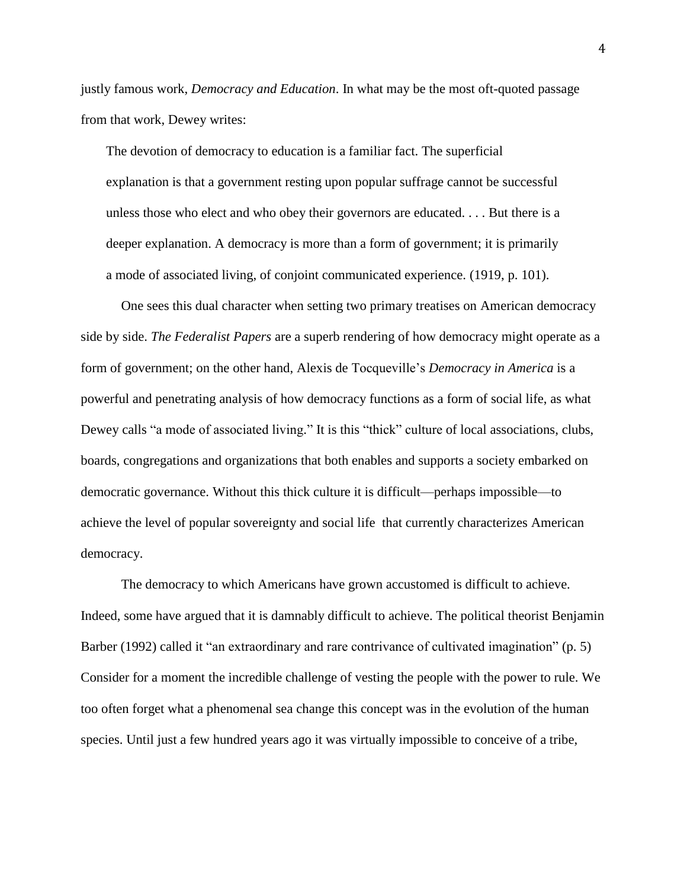justly famous work, *Democracy and Education*. In what may be the most oft-quoted passage from that work, Dewey writes:

The devotion of democracy to education is a familiar fact. The superficial explanation is that a government resting upon popular suffrage cannot be successful unless those who elect and who obey their governors are educated. . . . But there is a deeper explanation. A democracy is more than a form of government; it is primarily a mode of associated living, of conjoint communicated experience. (1919, p. 101).

One sees this dual character when setting two primary treatises on American democracy side by side. *The Federalist Papers* are a superb rendering of how democracy might operate as a form of government; on the other hand, Alexis de Tocqueville's *Democracy in America* is a powerful and penetrating analysis of how democracy functions as a form of social life, as what Dewey calls "a mode of associated living." It is this "thick" culture of local associations, clubs, boards, congregations and organizations that both enables and supports a society embarked on democratic governance. Without this thick culture it is difficult—perhaps impossible—to achieve the level of popular sovereignty and social life that currently characterizes American democracy.

The democracy to which Americans have grown accustomed is difficult to achieve. Indeed, some have argued that it is damnably difficult to achieve. The political theorist Benjamin Barber (1992) called it "an extraordinary and rare contrivance of cultivated imagination" (p. 5) Consider for a moment the incredible challenge of vesting the people with the power to rule. We too often forget what a phenomenal sea change this concept was in the evolution of the human species. Until just a few hundred years ago it was virtually impossible to conceive of a tribe,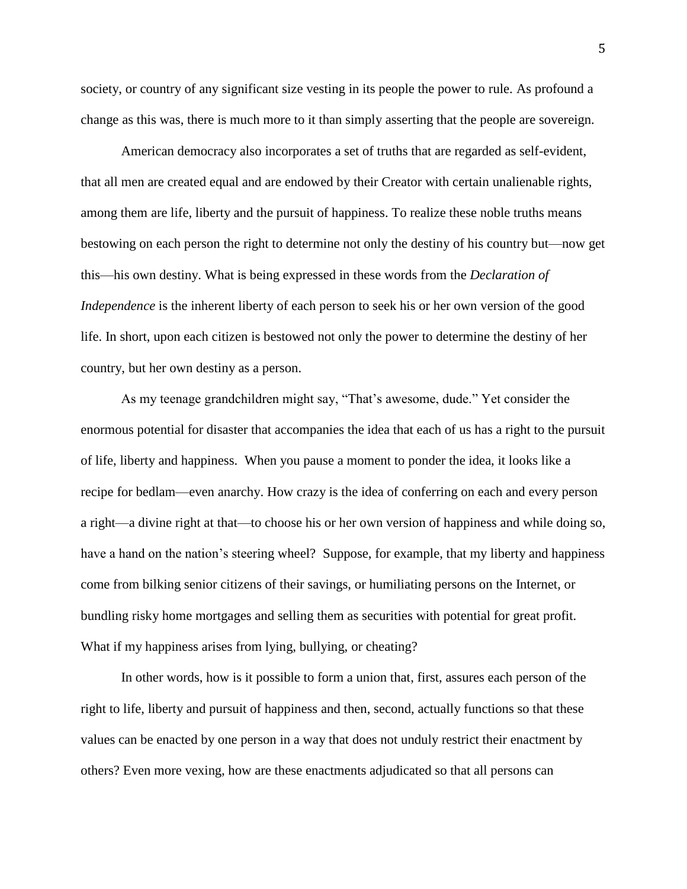society, or country of any significant size vesting in its people the power to rule. As profound a change as this was, there is much more to it than simply asserting that the people are sovereign.

American democracy also incorporates a set of truths that are regarded as self-evident, that all men are created equal and are endowed by their Creator with certain unalienable rights, among them are life, liberty and the pursuit of happiness. To realize these noble truths means bestowing on each person the right to determine not only the destiny of his country but—now get this—his own destiny. What is being expressed in these words from the *Declaration of Independence* is the inherent liberty of each person to seek his or her own version of the good life. In short, upon each citizen is bestowed not only the power to determine the destiny of her country, but her own destiny as a person.

As my teenage grandchildren might say, "That's awesome, dude." Yet consider the enormous potential for disaster that accompanies the idea that each of us has a right to the pursuit of life, liberty and happiness. When you pause a moment to ponder the idea, it looks like a recipe for bedlam—even anarchy. How crazy is the idea of conferring on each and every person a right—a divine right at that—to choose his or her own version of happiness and while doing so, have a hand on the nation's steering wheel? Suppose, for example, that my liberty and happiness come from bilking senior citizens of their savings, or humiliating persons on the Internet, or bundling risky home mortgages and selling them as securities with potential for great profit. What if my happiness arises from lying, bullying, or cheating?

In other words, how is it possible to form a union that, first, assures each person of the right to life, liberty and pursuit of happiness and then, second, actually functions so that these values can be enacted by one person in a way that does not unduly restrict their enactment by others? Even more vexing, how are these enactments adjudicated so that all persons can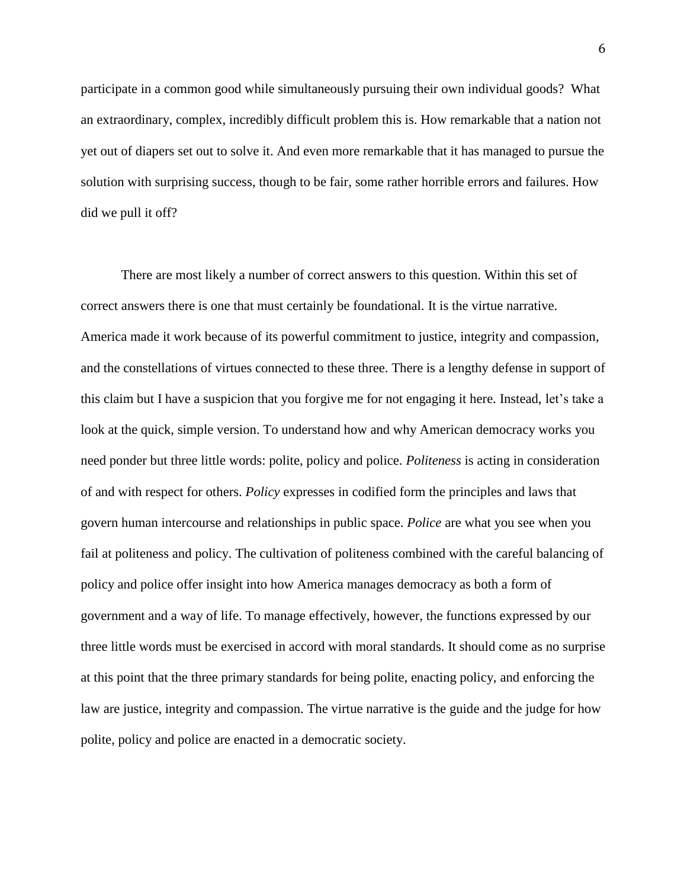participate in a common good while simultaneously pursuing their own individual goods? What an extraordinary, complex, incredibly difficult problem this is. How remarkable that a nation not yet out of diapers set out to solve it. And even more remarkable that it has managed to pursue the solution with surprising success, though to be fair, some rather horrible errors and failures. How did we pull it off?

There are most likely a number of correct answers to this question. Within this set of correct answers there is one that must certainly be foundational. It is the virtue narrative. America made it work because of its powerful commitment to justice, integrity and compassion, and the constellations of virtues connected to these three. There is a lengthy defense in support of this claim but I have a suspicion that you forgive me for not engaging it here. Instead, let's take a look at the quick, simple version. To understand how and why American democracy works you need ponder but three little words: polite, policy and police. *Politeness* is acting in consideration of and with respect for others. *Policy* expresses in codified form the principles and laws that govern human intercourse and relationships in public space. *Police* are what you see when you fail at politeness and policy. The cultivation of politeness combined with the careful balancing of policy and police offer insight into how America manages democracy as both a form of government and a way of life. To manage effectively, however, the functions expressed by our three little words must be exercised in accord with moral standards. It should come as no surprise at this point that the three primary standards for being polite, enacting policy, and enforcing the law are justice, integrity and compassion. The virtue narrative is the guide and the judge for how polite, policy and police are enacted in a democratic society.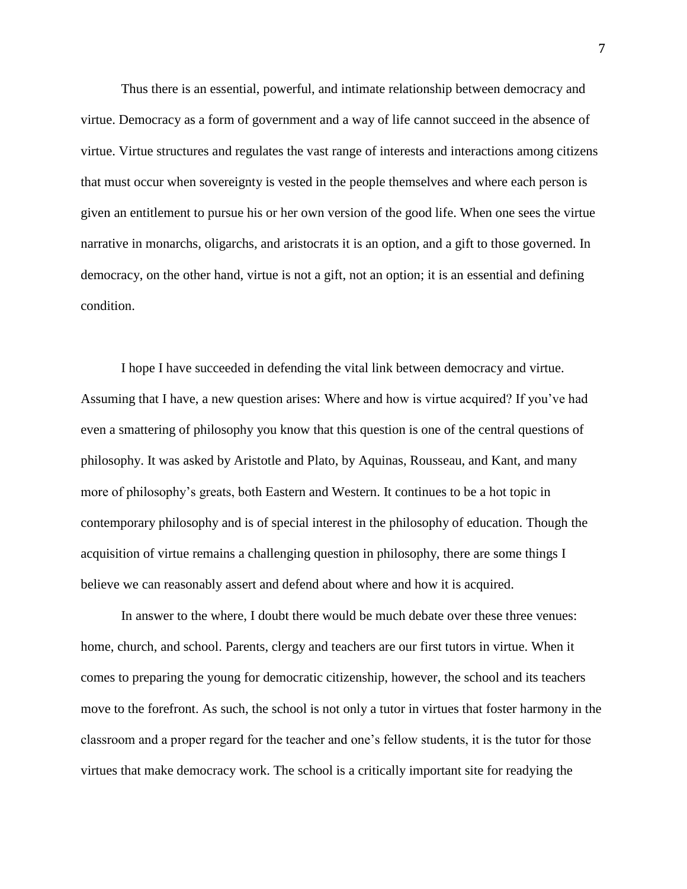Thus there is an essential, powerful, and intimate relationship between democracy and virtue. Democracy as a form of government and a way of life cannot succeed in the absence of virtue. Virtue structures and regulates the vast range of interests and interactions among citizens that must occur when sovereignty is vested in the people themselves and where each person is given an entitlement to pursue his or her own version of the good life. When one sees the virtue narrative in monarchs, oligarchs, and aristocrats it is an option, and a gift to those governed. In democracy, on the other hand, virtue is not a gift, not an option; it is an essential and defining condition.

I hope I have succeeded in defending the vital link between democracy and virtue. Assuming that I have, a new question arises: Where and how is virtue acquired? If you've had even a smattering of philosophy you know that this question is one of the central questions of philosophy. It was asked by Aristotle and Plato, by Aquinas, Rousseau, and Kant, and many more of philosophy's greats, both Eastern and Western. It continues to be a hot topic in contemporary philosophy and is of special interest in the philosophy of education. Though the acquisition of virtue remains a challenging question in philosophy, there are some things I believe we can reasonably assert and defend about where and how it is acquired.

In answer to the where, I doubt there would be much debate over these three venues: home, church, and school. Parents, clergy and teachers are our first tutors in virtue. When it comes to preparing the young for democratic citizenship, however, the school and its teachers move to the forefront. As such, the school is not only a tutor in virtues that foster harmony in the classroom and a proper regard for the teacher and one's fellow students, it is the tutor for those virtues that make democracy work. The school is a critically important site for readying the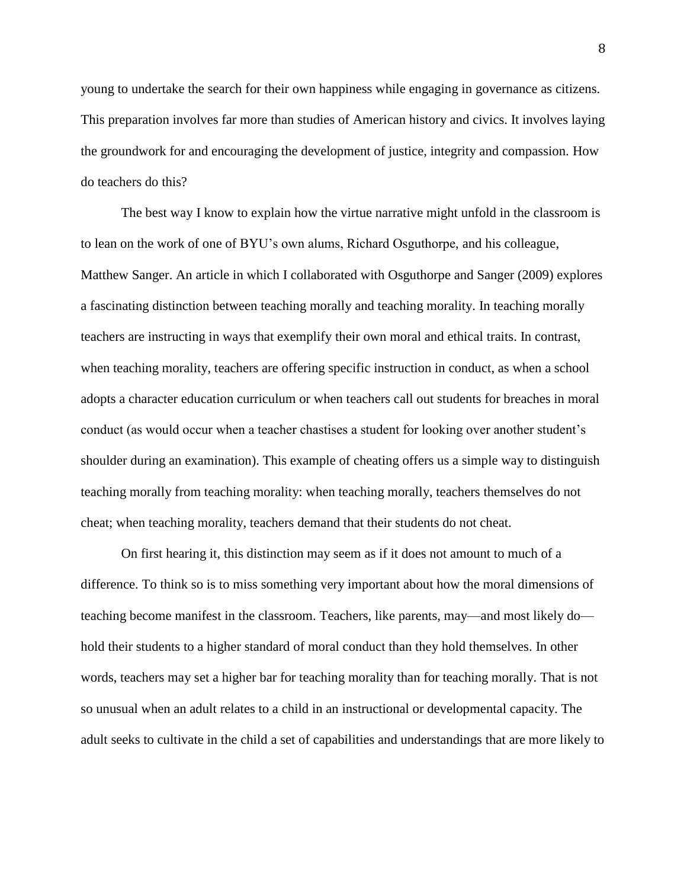young to undertake the search for their own happiness while engaging in governance as citizens. This preparation involves far more than studies of American history and civics. It involves laying the groundwork for and encouraging the development of justice, integrity and compassion. How do teachers do this?

The best way I know to explain how the virtue narrative might unfold in the classroom is to lean on the work of one of BYU's own alums, Richard Osguthorpe, and his colleague, Matthew Sanger. An article in which I collaborated with Osguthorpe and Sanger (2009) explores a fascinating distinction between teaching morally and teaching morality. In teaching morally teachers are instructing in ways that exemplify their own moral and ethical traits. In contrast, when teaching morality, teachers are offering specific instruction in conduct, as when a school adopts a character education curriculum or when teachers call out students for breaches in moral conduct (as would occur when a teacher chastises a student for looking over another student's shoulder during an examination). This example of cheating offers us a simple way to distinguish teaching morally from teaching morality: when teaching morally, teachers themselves do not cheat; when teaching morality, teachers demand that their students do not cheat.

On first hearing it, this distinction may seem as if it does not amount to much of a difference. To think so is to miss something very important about how the moral dimensions of teaching become manifest in the classroom. Teachers, like parents, may—and most likely do hold their students to a higher standard of moral conduct than they hold themselves. In other words, teachers may set a higher bar for teaching morality than for teaching morally. That is not so unusual when an adult relates to a child in an instructional or developmental capacity. The adult seeks to cultivate in the child a set of capabilities and understandings that are more likely to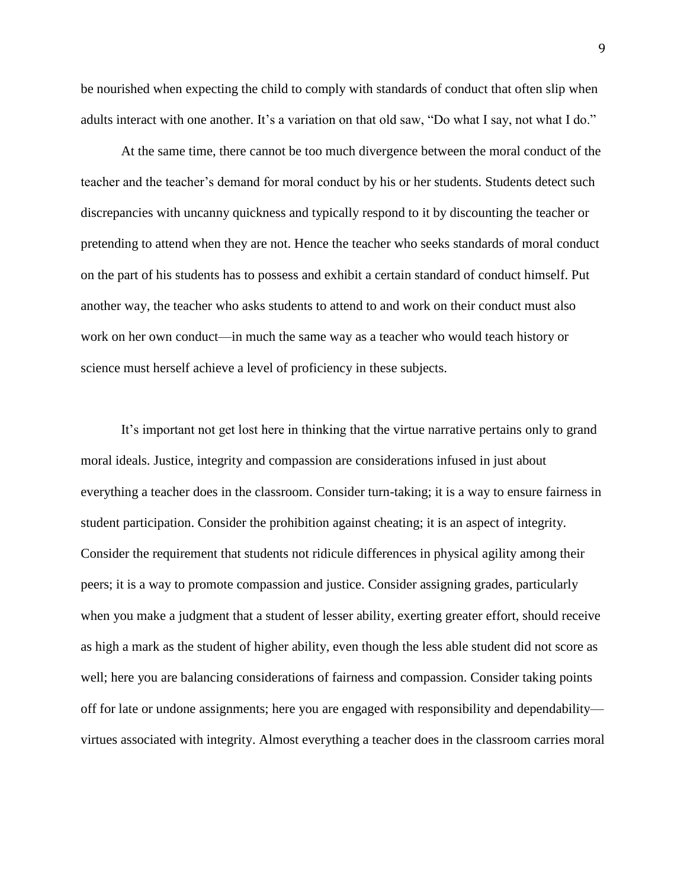be nourished when expecting the child to comply with standards of conduct that often slip when adults interact with one another. It's a variation on that old saw, "Do what I say, not what I do."

At the same time, there cannot be too much divergence between the moral conduct of the teacher and the teacher's demand for moral conduct by his or her students. Students detect such discrepancies with uncanny quickness and typically respond to it by discounting the teacher or pretending to attend when they are not. Hence the teacher who seeks standards of moral conduct on the part of his students has to possess and exhibit a certain standard of conduct himself. Put another way, the teacher who asks students to attend to and work on their conduct must also work on her own conduct—in much the same way as a teacher who would teach history or science must herself achieve a level of proficiency in these subjects.

It's important not get lost here in thinking that the virtue narrative pertains only to grand moral ideals. Justice, integrity and compassion are considerations infused in just about everything a teacher does in the classroom. Consider turn-taking; it is a way to ensure fairness in student participation. Consider the prohibition against cheating; it is an aspect of integrity. Consider the requirement that students not ridicule differences in physical agility among their peers; it is a way to promote compassion and justice. Consider assigning grades, particularly when you make a judgment that a student of lesser ability, exerting greater effort, should receive as high a mark as the student of higher ability, even though the less able student did not score as well; here you are balancing considerations of fairness and compassion. Consider taking points off for late or undone assignments; here you are engaged with responsibility and dependability virtues associated with integrity. Almost everything a teacher does in the classroom carries moral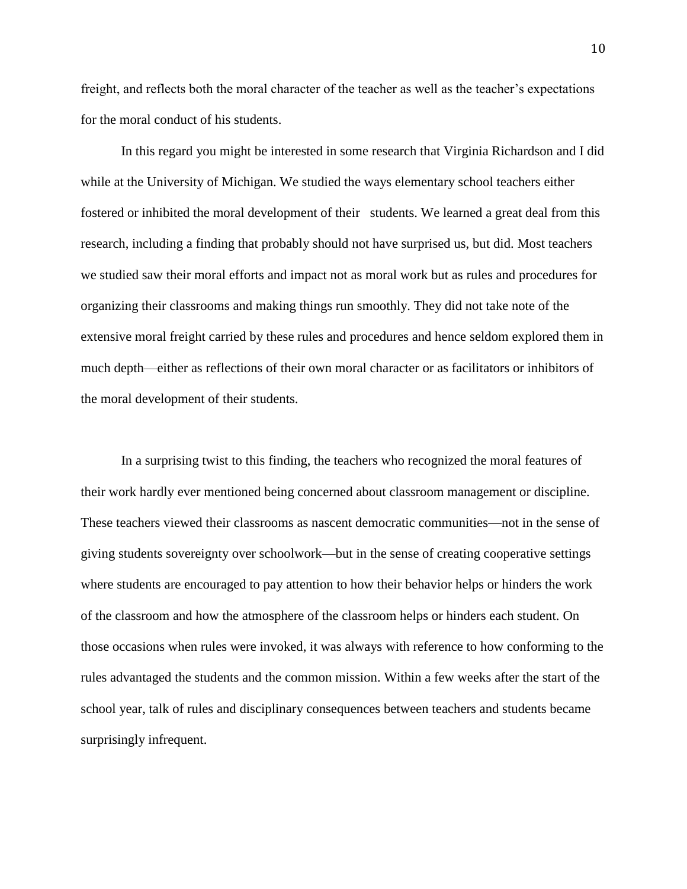freight, and reflects both the moral character of the teacher as well as the teacher's expectations for the moral conduct of his students.

In this regard you might be interested in some research that Virginia Richardson and I did while at the University of Michigan. We studied the ways elementary school teachers either fostered or inhibited the moral development of their students. We learned a great deal from this research, including a finding that probably should not have surprised us, but did. Most teachers we studied saw their moral efforts and impact not as moral work but as rules and procedures for organizing their classrooms and making things run smoothly. They did not take note of the extensive moral freight carried by these rules and procedures and hence seldom explored them in much depth—either as reflections of their own moral character or as facilitators or inhibitors of the moral development of their students.

In a surprising twist to this finding, the teachers who recognized the moral features of their work hardly ever mentioned being concerned about classroom management or discipline. These teachers viewed their classrooms as nascent democratic communities—not in the sense of giving students sovereignty over schoolwork—but in the sense of creating cooperative settings where students are encouraged to pay attention to how their behavior helps or hinders the work of the classroom and how the atmosphere of the classroom helps or hinders each student. On those occasions when rules were invoked, it was always with reference to how conforming to the rules advantaged the students and the common mission. Within a few weeks after the start of the school year, talk of rules and disciplinary consequences between teachers and students became surprisingly infrequent.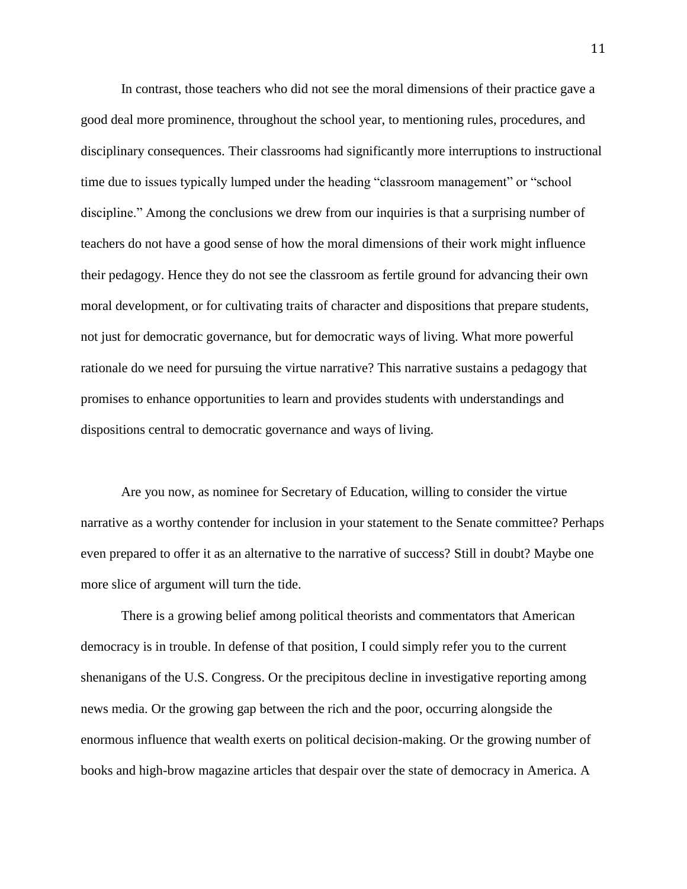In contrast, those teachers who did not see the moral dimensions of their practice gave a good deal more prominence, throughout the school year, to mentioning rules, procedures, and disciplinary consequences. Their classrooms had significantly more interruptions to instructional time due to issues typically lumped under the heading "classroom management" or "school discipline." Among the conclusions we drew from our inquiries is that a surprising number of teachers do not have a good sense of how the moral dimensions of their work might influence their pedagogy. Hence they do not see the classroom as fertile ground for advancing their own moral development, or for cultivating traits of character and dispositions that prepare students, not just for democratic governance, but for democratic ways of living. What more powerful rationale do we need for pursuing the virtue narrative? This narrative sustains a pedagogy that promises to enhance opportunities to learn and provides students with understandings and dispositions central to democratic governance and ways of living.

Are you now, as nominee for Secretary of Education, willing to consider the virtue narrative as a worthy contender for inclusion in your statement to the Senate committee? Perhaps even prepared to offer it as an alternative to the narrative of success? Still in doubt? Maybe one more slice of argument will turn the tide.

There is a growing belief among political theorists and commentators that American democracy is in trouble. In defense of that position, I could simply refer you to the current shenanigans of the U.S. Congress. Or the precipitous decline in investigative reporting among news media. Or the growing gap between the rich and the poor, occurring alongside the enormous influence that wealth exerts on political decision-making. Or the growing number of books and high-brow magazine articles that despair over the state of democracy in America. A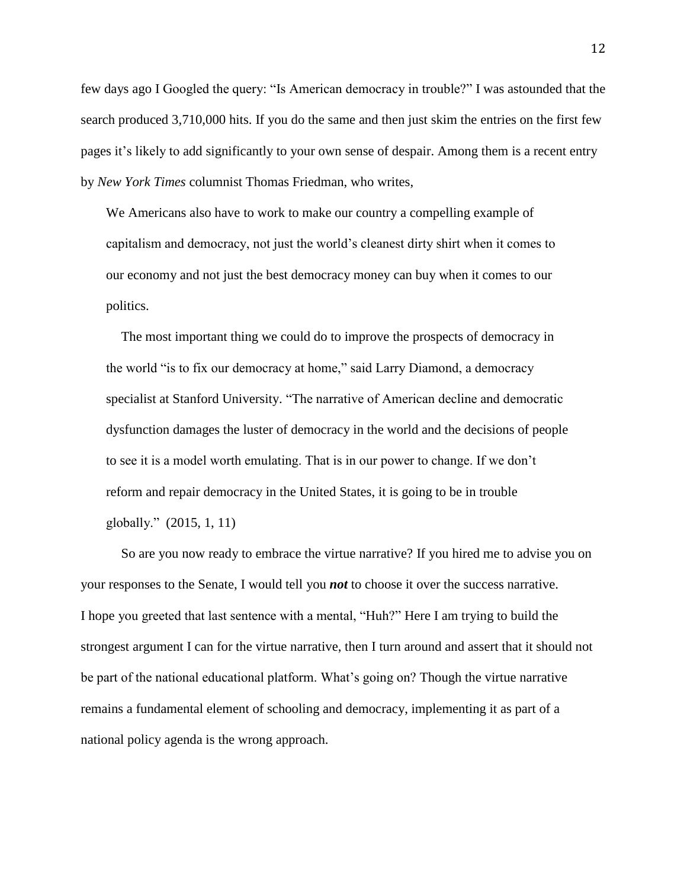few days ago I Googled the query: "Is American democracy in trouble?" I was astounded that the search produced 3,710,000 hits. If you do the same and then just skim the entries on the first few pages it's likely to add significantly to your own sense of despair. Among them is a recent entry by *New York Times* columnist Thomas Friedman, who writes,

We Americans also have to work to make our country a compelling example of capitalism and democracy, not just the world's cleanest dirty shirt when it comes to our economy and not just the best democracy money can buy when it comes to our politics.

The most important thing we could do to improve the prospects of democracy in the world "is to fix our democracy at home," said Larry Diamond, a democracy specialist at Stanford University. "The narrative of American decline and democratic dysfunction damages the luster of democracy in the world and the decisions of people to see it is a model worth emulating. That is in our power to change. If we don't reform and repair democracy in the United States, it is going to be in trouble globally." (2015, 1, 11)

So are you now ready to embrace the virtue narrative? If you hired me to advise you on your responses to the Senate, I would tell you *not* to choose it over the success narrative. I hope you greeted that last sentence with a mental, "Huh?" Here I am trying to build the strongest argument I can for the virtue narrative, then I turn around and assert that it should not be part of the national educational platform. What's going on? Though the virtue narrative remains a fundamental element of schooling and democracy, implementing it as part of a national policy agenda is the wrong approach.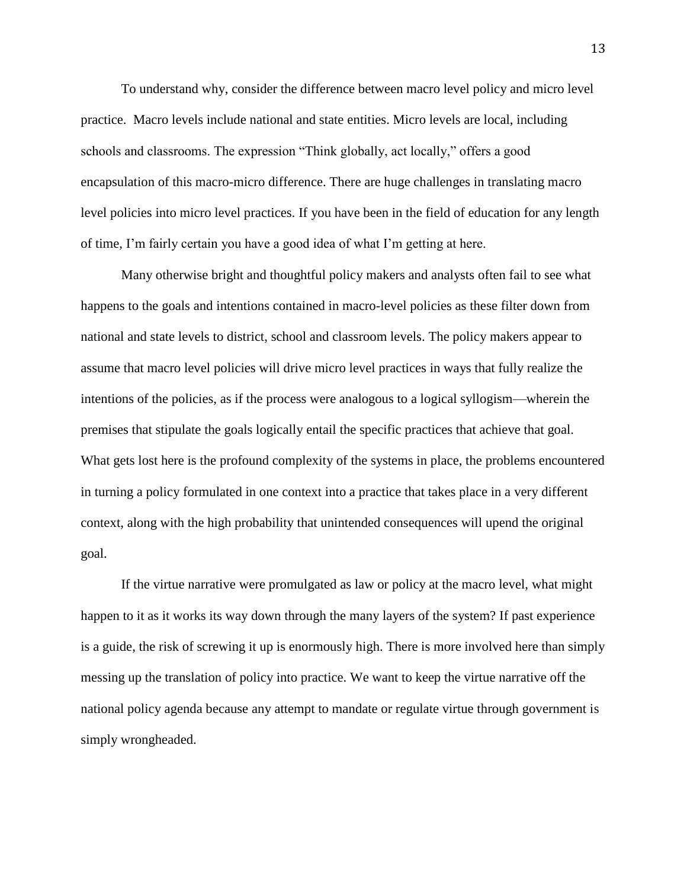To understand why, consider the difference between macro level policy and micro level practice. Macro levels include national and state entities. Micro levels are local, including schools and classrooms. The expression "Think globally, act locally," offers a good encapsulation of this macro-micro difference. There are huge challenges in translating macro level policies into micro level practices. If you have been in the field of education for any length of time, I'm fairly certain you have a good idea of what I'm getting at here.

Many otherwise bright and thoughtful policy makers and analysts often fail to see what happens to the goals and intentions contained in macro-level policies as these filter down from national and state levels to district, school and classroom levels. The policy makers appear to assume that macro level policies will drive micro level practices in ways that fully realize the intentions of the policies, as if the process were analogous to a logical syllogism—wherein the premises that stipulate the goals logically entail the specific practices that achieve that goal. What gets lost here is the profound complexity of the systems in place, the problems encountered in turning a policy formulated in one context into a practice that takes place in a very different context, along with the high probability that unintended consequences will upend the original goal.

If the virtue narrative were promulgated as law or policy at the macro level, what might happen to it as it works its way down through the many layers of the system? If past experience is a guide, the risk of screwing it up is enormously high. There is more involved here than simply messing up the translation of policy into practice. We want to keep the virtue narrative off the national policy agenda because any attempt to mandate or regulate virtue through government is simply wrongheaded.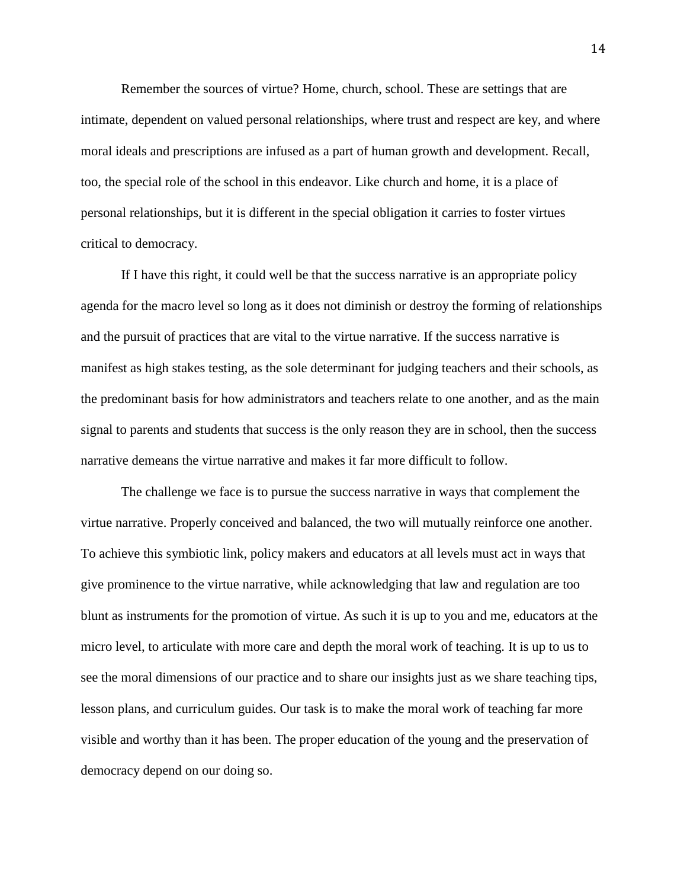Remember the sources of virtue? Home, church, school. These are settings that are intimate, dependent on valued personal relationships, where trust and respect are key, and where moral ideals and prescriptions are infused as a part of human growth and development. Recall, too, the special role of the school in this endeavor. Like church and home, it is a place of personal relationships, but it is different in the special obligation it carries to foster virtues critical to democracy.

If I have this right, it could well be that the success narrative is an appropriate policy agenda for the macro level so long as it does not diminish or destroy the forming of relationships and the pursuit of practices that are vital to the virtue narrative. If the success narrative is manifest as high stakes testing, as the sole determinant for judging teachers and their schools, as the predominant basis for how administrators and teachers relate to one another, and as the main signal to parents and students that success is the only reason they are in school, then the success narrative demeans the virtue narrative and makes it far more difficult to follow.

The challenge we face is to pursue the success narrative in ways that complement the virtue narrative. Properly conceived and balanced, the two will mutually reinforce one another. To achieve this symbiotic link, policy makers and educators at all levels must act in ways that give prominence to the virtue narrative, while acknowledging that law and regulation are too blunt as instruments for the promotion of virtue. As such it is up to you and me, educators at the micro level, to articulate with more care and depth the moral work of teaching. It is up to us to see the moral dimensions of our practice and to share our insights just as we share teaching tips, lesson plans, and curriculum guides. Our task is to make the moral work of teaching far more visible and worthy than it has been. The proper education of the young and the preservation of democracy depend on our doing so.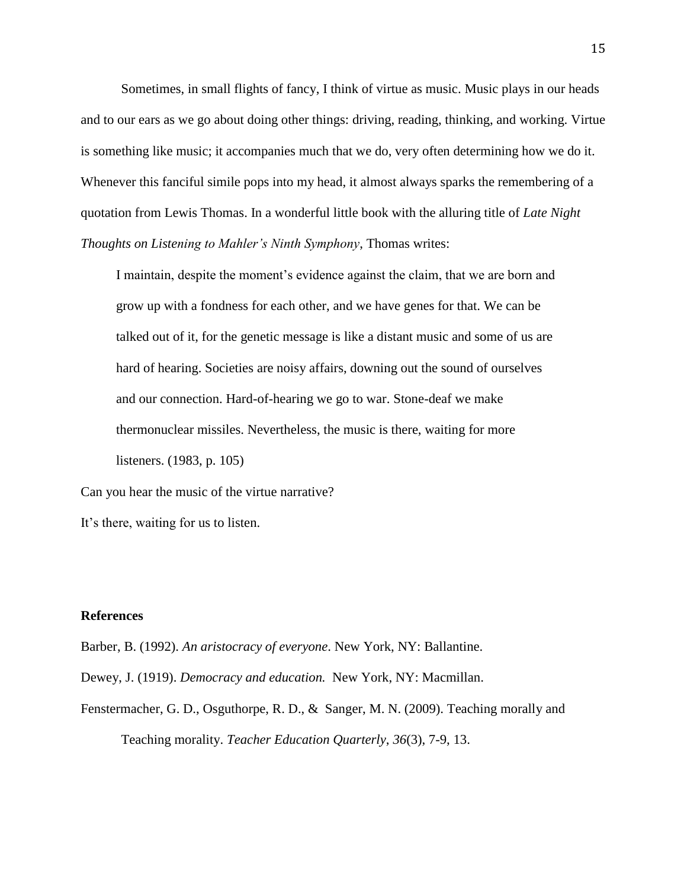Sometimes, in small flights of fancy, I think of virtue as music. Music plays in our heads and to our ears as we go about doing other things: driving, reading, thinking, and working. Virtue is something like music; it accompanies much that we do, very often determining how we do it. Whenever this fanciful simile pops into my head, it almost always sparks the remembering of a quotation from Lewis Thomas. In a wonderful little book with the alluring title of *Late Night Thoughts on Listening to Mahler's Ninth Symphony*, Thomas writes:

I maintain, despite the moment's evidence against the claim, that we are born and grow up with a fondness for each other, and we have genes for that. We can be talked out of it, for the genetic message is like a distant music and some of us are hard of hearing. Societies are noisy affairs, downing out the sound of ourselves and our connection. Hard-of-hearing we go to war. Stone-deaf we make thermonuclear missiles. Nevertheless, the music is there, waiting for more listeners. (1983, p. 105)

Can you hear the music of the virtue narrative? It's there, waiting for us to listen.

#### **References**

Barber, B. (1992). *An aristocracy of everyone*. New York, NY: Ballantine.

Dewey, J. (1919). *Democracy and education.* New York, NY: Macmillan.

Fenstermacher, G. D., Osguthorpe, R. D., & Sanger, M. N. (2009). Teaching morally and Teaching morality. *Teacher Education Quarterly*, *36*(3), 7-9, 13.